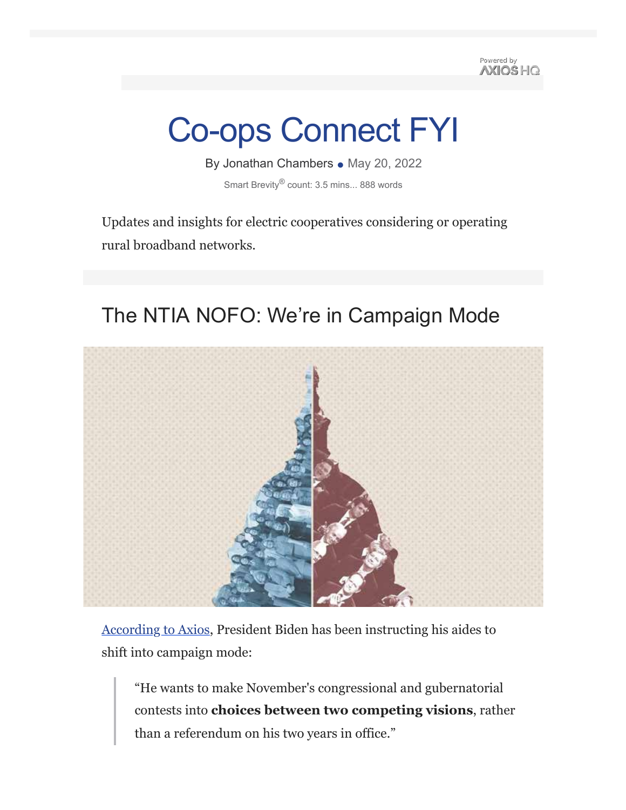Powered by **AXIOS HO** 

# Co-ops Connect FYI

By Jonathan Chambers • May 20, 2022 Smart Brevity® count: 3.5 mins... 888 words

Updates and insights for electric cooperatives considering or operating rural broadband networks.

### The NTIA NOFO: We're in Campaign Mode



According to Axios, President Biden has been instructing his aides to shift into campaign mode:

"He wants to make November's congressional and gubernatorial contests into **choices between two competing visions**, rather than a referendum on his two years in office."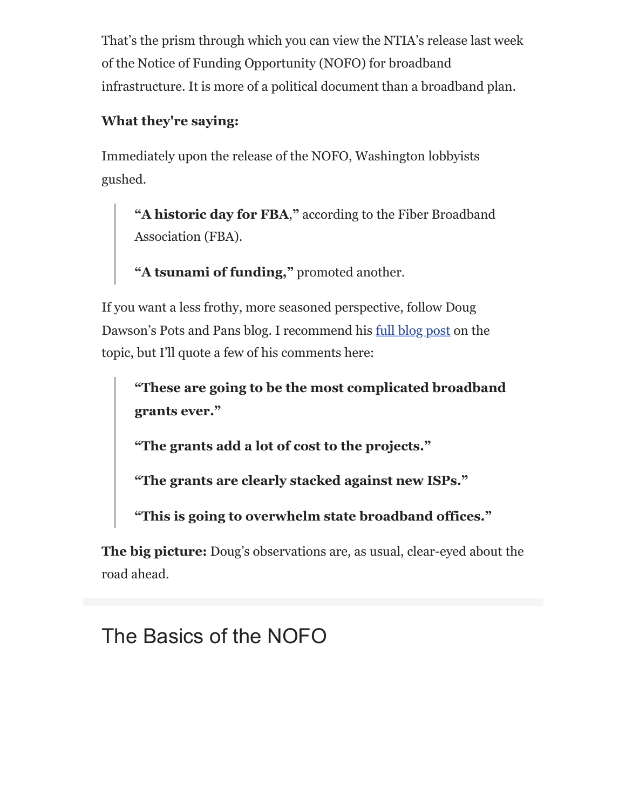That's the prism through which you can view the NTIA's release last week of the Notice of Funding Opportunity (NOFO) for broadband infrastructure. It is more of a political document than a broadband plan.

#### **What they're saying:**

Immediately upon the release of the NOFO, Washington lobbyists gushed.

**"A historic day for FBA**,**"** according to the Fiber Broadband Association (FBA).

**"A tsunami of funding,"** promoted another.

If you want a less frothy, more seasoned perspective, follow Doug Dawson's Pots and Pans blog. I recommend his full blog post on the topic, but I'll quote a few of his comments here:

**"These are going to be the most complicated broadband grants ever."**

**"The grants add a lot of cost to the projects."**

**"The grants are clearly stacked against new ISPs."**

**"This is going to overwhelm state broadband offices."**

**The big picture:** Doug's observations are, as usual, clear-eyed about the road ahead.

## The Basics of the NOFO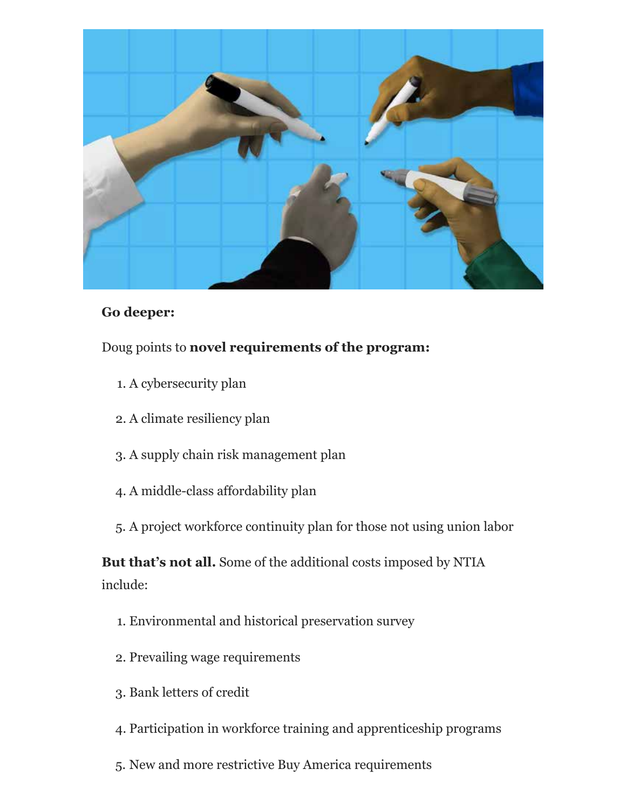

#### **Go deeper:**

#### Doug points to **novel requirements of the program:**

- 1. A cybersecurity plan
- 2. A climate resiliency plan
- 3. A supply chain risk management plan
- 4. A middle-class affordability plan
- 5. A project workforce continuity plan for those not using union labor

**But that's not all.** Some of the additional costs imposed by NTIA include:

- 1. Environmental and historical preservation survey
- 2. Prevailing wage requirements
- 3. Bank letters of credit
- 4. Participation in workforce training and apprenticeship programs
- 5. New and more restrictive Buy America requirements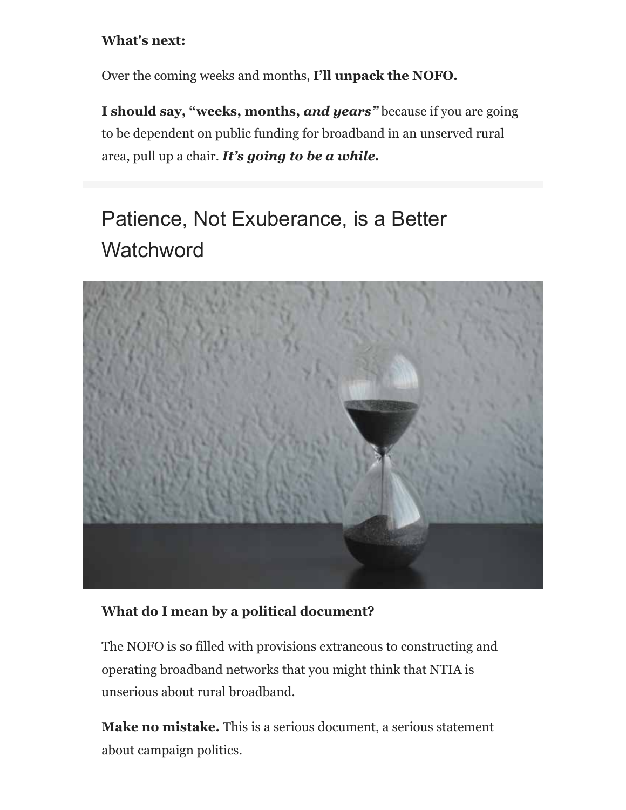#### **What's next:**

Over the coming weeks and months, **I'll unpack the NOFO.**

**I should say, "weeks, months,** *and years"* because if you are going to be dependent on public funding for broadband in an unserved rural area, pull up a chair. *It's going to be a while.*

# Patience, Not Exuberance, is a Better **Watchword**



#### **What do I mean by a political document?**

The NOFO is so filled with provisions extraneous to constructing and operating broadband networks that you might think that NTIA is unserious about rural broadband.

**Make no mistake.** This is a serious document, a serious statement about campaign politics.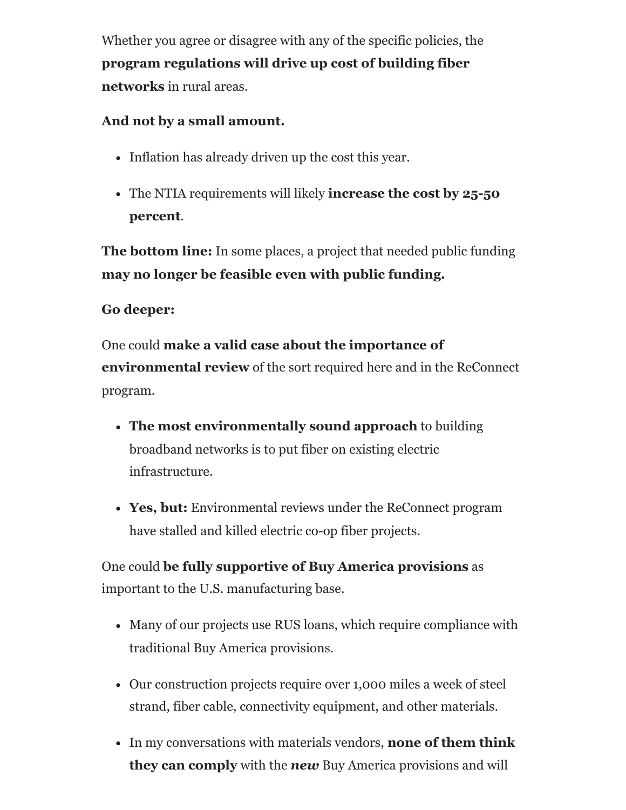Whether you agree or disagree with any of the specific policies, the **program regulations will drive up cost of building fiber networks** in rural areas.

#### **And not by a small amount.**

- Inflation has already driven up the cost this year.
- The NTIA requirements will likely **increase the cost by 25-50 percent**.

**The bottom line:** In some places, a project that needed public funding **may no longer be feasible even with public funding.**

#### **Go deeper:**

One could **make a valid case about the importance of environmental review** of the sort required here and in the ReConnect program.

- **The most environmentally sound approach** to building broadband networks is to put fiber on existing electric infrastructure.
- **Yes, but:** Environmental reviews under the ReConnect program have stalled and killed electric co-op fiber projects.

One could **be fully supportive of Buy America provisions** as important to the U.S. manufacturing base.

- Many of our projects use RUS loans, which require compliance with traditional Buy America provisions.
- Our construction projects require over 1,000 miles a week of steel strand, fiber cable, connectivity equipment, and other materials.
- In my conversations with materials vendors, **none of them think they can comply** with the *new* Buy America provisions and will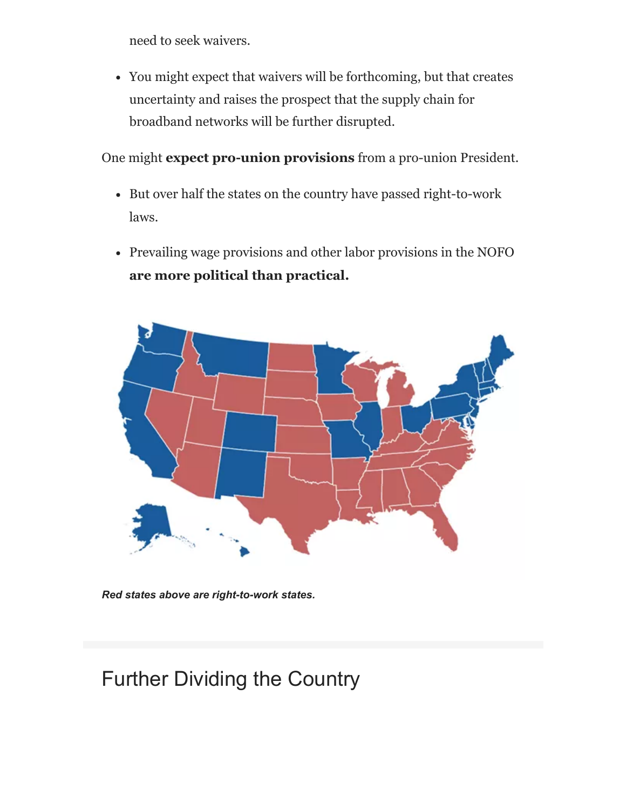need to seek waivers.

You might expect that waivers will be forthcoming, but that creates uncertainty and raises the prospect that the supply chain for broadband networks will be further disrupted.

One might **expect pro-union provisions** from a pro-union President.

- But over half the states on the country have passed right-to-work laws.
- Prevailing wage provisions and other labor provisions in the NOFO **are more political than practical.**



*Red states above are right-to-work states.*

# Further Dividing the Country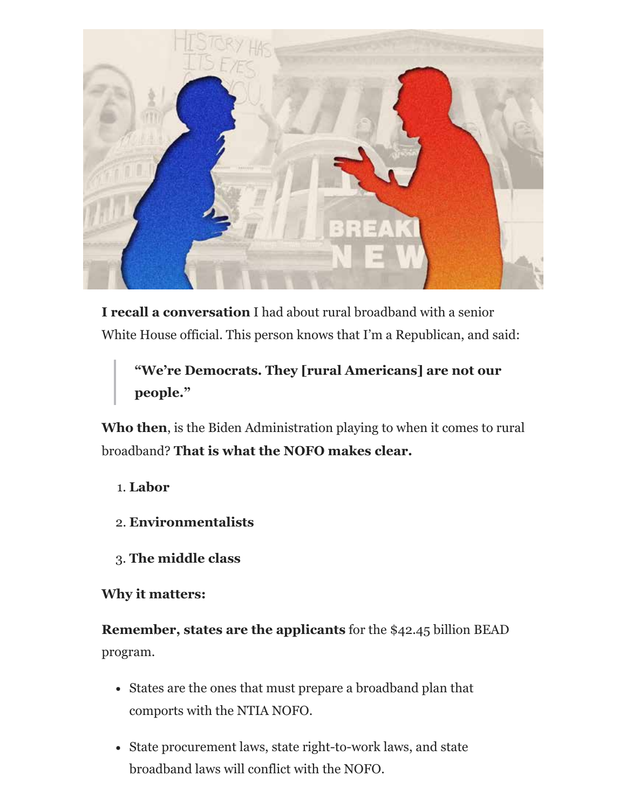

**I recall a conversation** I had about rural broadband with a senior White House official. This person knows that I'm a Republican, and said:

#### **"We're Democrats. They [rural Americans] are not our people."**

**Who then**, is the Biden Administration playing to when it comes to rural broadband? **That is what the NOFO makes clear.**

- 1. **Labor**
- 2. **Environmentalists**
- 3. **The middle class**

#### **Why it matters:**

**Remember, states are the applicants** for the \$42.45 billion BEAD program.

- States are the ones that must prepare a broadband plan that comports with the NTIA NOFO.
- State procurement laws, state right-to-work laws, and state broadband laws will conflict with the NOFO.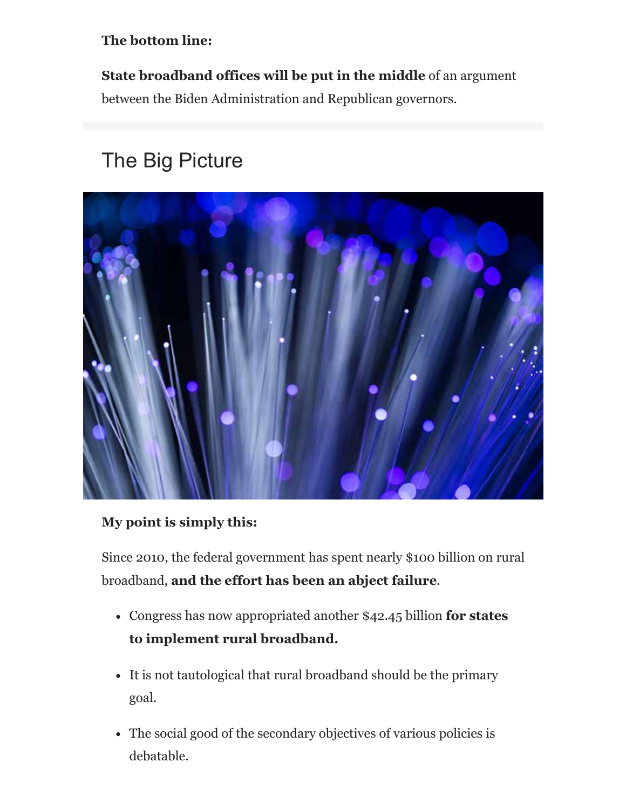#### **The bottom line:**

**State broadband offices will be put in the middle** of an argument between the Biden Administration and Republican governors.

# The Big Picture



#### **My point is simply this:**

Since 2010, the federal government has spent nearly \$100 billion on rural broadband, **and the effort has been an abject failure**.

- Congress has now appropriated another \$42.45 billion **for states to implement rural broadband.**
- It is not tautological that rural broadband should be the primary goal.
- The social good of the secondary objectives of various policies is debatable.